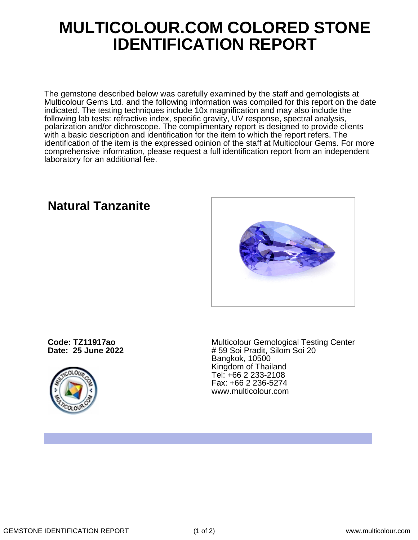## **MULTICOLOUR.COM COLORED STONE IDENTIFICATION REPORT**

The gemstone described below was carefully examined by the staff and gemologists at Multicolour Gems Ltd. and the following information was compiled for this report on the date indicated. The testing techniques include 10x magnification and may also include the following lab tests: refractive index, specific gravity, UV response, spectral analysis, polarization and/or dichroscope. The complimentary report is designed to provide clients with a basic description and identification for the item to which the report refers. The identification of the item is the expressed opinion of the staff at Multicolour Gems. For more comprehensive information, please request a full identification report from an independent laboratory for an additional fee.

**Code: TZ11917ao**

**Date: 25 June 2022**



Multicolour Gemological Testing Center # 59 Soi Pradit, Silom Soi 20 Bangkok, 10500 Kingdom of Thailand Tel: +66 2 233-2108 Fax: +66 2 236-5274 www.multicolour.com

**Natural Tanzanite**